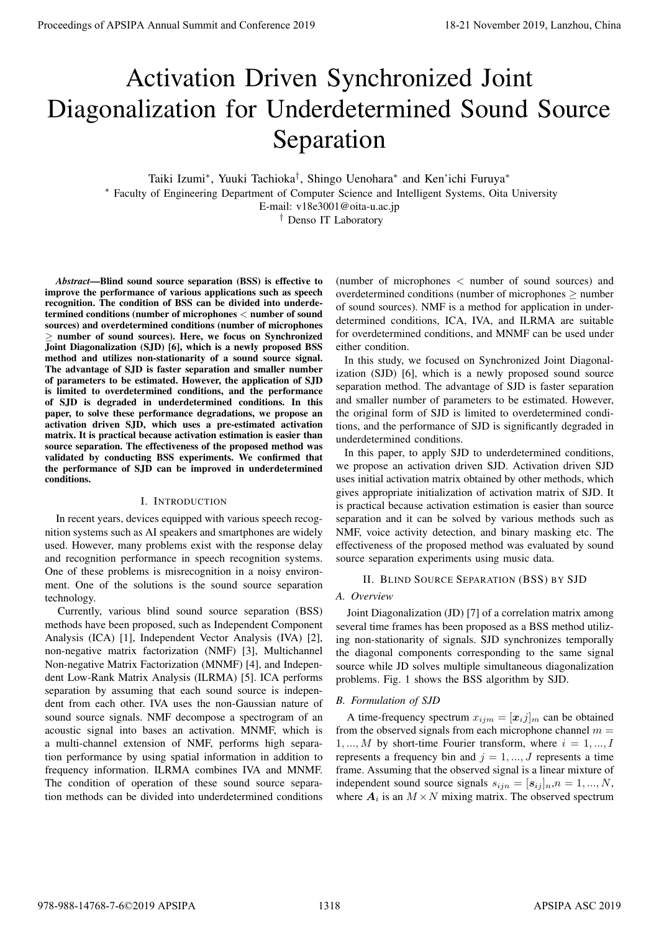# Activation Driven Synchronized Joint Diagonalization for Underdetermined Sound Source Separation

Taiki Izumi*<sup>∗</sup>* , Yuuki Tachioka*†* , Shingo Uenohara*<sup>∗</sup>* and Ken'ichi Furuya*<sup>∗</sup> <sup>∗</sup>* Faculty of Engineering Department of Computer Science and Intelligent Systems, Oita University

E-mail: v18e3001@oita-u.ac.jp

*†* Denso IT Laboratory

*Abstract*—Blind sound source separation (BSS) is effective to improve the performance of various applications such as speech recognition. The condition of BSS can be divided into underdetermined conditions (number of microphones *<* number of sound sources) and overdetermined conditions (number of microphones *≥* number of sound sources). Here, we focus on Synchronized Joint Diagonalization (SJD) [6], which is a newly proposed BSS method and utilizes non-stationarity of a sound source signal. The advantage of SJD is faster separation and smaller number of parameters to be estimated. However, the application of SJD is limited to overdetermined conditions, and the performance of SJD is degraded in underdetermined conditions. In this paper, to solve these performance degradations, we propose an activation driven SJD, which uses a pre-estimated activation matrix. It is practical because activation estimation is easier than source separation. The effectiveness of the proposed method was validated by conducting BSS experiments. We confirmed that the performance of SJD can be improved in underdetermined conditions. **Proceedings of APSIPA Annual Summit at China 978-988-14768-7-809**<br> **Activation Driver Symmetrics of APSIPA and Conference 2019**<br> **Conference 2021**<br> **Conference 2022**<br> **Conference 2022**<br> **Conference 2022**<br> **Conference 202** 

# I. INTRODUCTION

In recent years, devices equipped with various speech recognition systems such as AI speakers and smartphones are widely used. However, many problems exist with the response delay and recognition performance in speech recognition systems. One of these problems is misrecognition in a noisy environment. One of the solutions is the sound source separation technology.

Currently, various blind sound source separation (BSS) methods have been proposed, such as Independent Component Analysis (ICA) [1], Independent Vector Analysis (IVA) [2], non-negative matrix factorization (NMF) [3], Multichannel Non-negative Matrix Factorization (MNMF) [4], and Independent Low-Rank Matrix Analysis (ILRMA) [5]. ICA performs separation by assuming that each sound source is independent from each other. IVA uses the non-Gaussian nature of sound source signals. NMF decompose a spectrogram of an acoustic signal into bases an activation. MNMF, which is a multi-channel extension of NMF, performs high separation performance by using spatial information in addition to frequency information. ILRMA combines IVA and MNMF. The condition of operation of these sound source separation methods can be divided into underdetermined conditions

(number of microphones *<* number of sound sources) and overdetermined conditions (number of microphones *≥* number of sound sources). NMF is a method for application in underdetermined conditions, ICA, IVA, and ILRMA are suitable for overdetermined conditions, and MNMF can be used under either condition.

In this study, we focused on Synchronized Joint Diagonalization (SJD) [6], which is a newly proposed sound source separation method. The advantage of SJD is faster separation and smaller number of parameters to be estimated. However, the original form of SJD is limited to overdetermined conditions, and the performance of SJD is significantly degraded in underdetermined conditions.

In this paper, to apply SJD to underdetermined conditions, we propose an activation driven SJD. Activation driven SJD uses initial activation matrix obtained by other methods, which gives appropriate initialization of activation matrix of SJD. It is practical because activation estimation is easier than source separation and it can be solved by various methods such as NMF, voice activity detection, and binary masking etc. The effectiveness of the proposed method was evaluated by sound source separation experiments using music data.

# II. BLIND SOURCE SEPARATION (BSS) BY SJD

# *A. Overview*

Joint Diagonalization (JD) [7] of a correlation matrix among several time frames has been proposed as a BSS method utilizing non-stationarity of signals. SJD synchronizes temporally the diagonal components corresponding to the same signal source while JD solves multiple simultaneous diagonalization problems. Fig. 1 shows the BSS algorithm by SJD.

# *B. Formulation of SJD*

A time-frequency spectrum  $x_{ijm} = [\mathbf{x}_i j]_m$  can be obtained from the observed signals from each microphone channel  $m =$ 1, ..., M by short-time Fourier transform, where  $i = 1, ..., I$ represents a frequency bin and  $j = 1, ..., J$  represents a time frame. Assuming that the observed signal is a linear mixture of independent sound source signals  $s_{ijn} = [\mathbf{s}_{ij}]_n, n = 1, ..., N$ , where  $A_i$  is an  $M \times N$  mixing matrix. The observed spectrum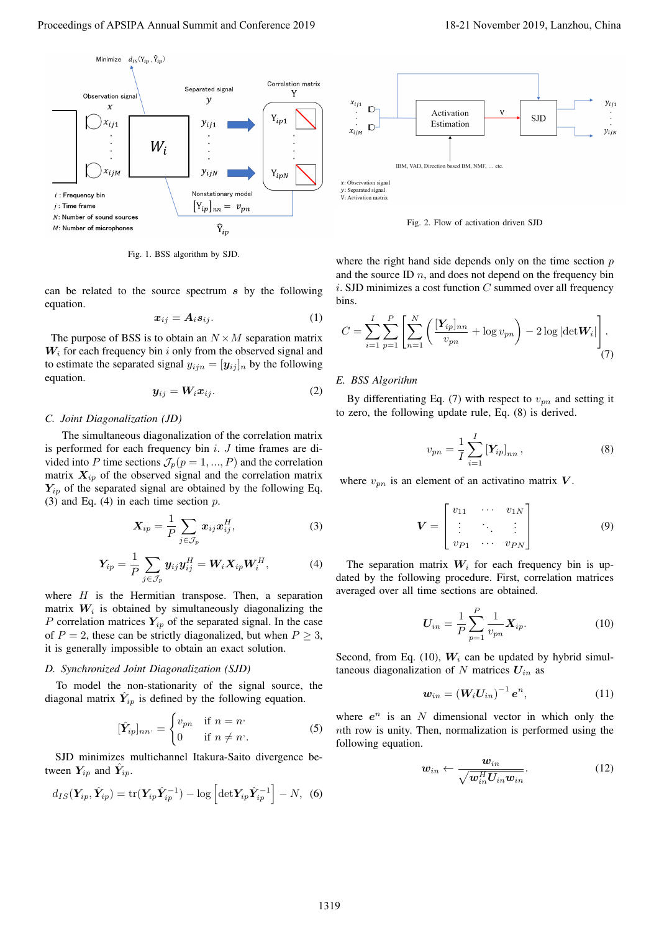

Fig. 1. BSS algorithm by SJD.

can be related to the source spectrum *s* by the following equation.

$$
x_{ij} = A_i s_{ij}.
$$
 (1)

The purpose of BSS is to obtain an  $N \times M$  separation matrix *W<sup>i</sup>* for each frequency bin *i* only from the observed signal and to estimate the separated signal  $y_{ijn} = [\mathbf{y}_{ij}]_n$  by the following equation.

$$
\mathbf{y}_{ij} = \mathbf{W}_i \mathbf{x}_{ij}.\tag{2}
$$

# *C. Joint Diagonalization (JD)*

The simultaneous diagonalization of the correlation matrix is performed for each frequency bin *i*. *J* time frames are divided into *P* time sections  $\mathcal{J}_p(p = 1, ..., P)$  and the correlation matrix  $X_{ip}$  of the observed signal and the correlation matrix *Yip* of the separated signal are obtained by the following Eq. (3) and Eq. (4) in each time section *p*.

$$
\boldsymbol{X}_{ip} = \frac{1}{P} \sum_{j \in \mathcal{J}_p} \boldsymbol{x}_{ij} \boldsymbol{x}_{ij}^H, \tag{3}
$$

$$
Y_{ip} = \frac{1}{P} \sum_{j \in \mathcal{J}_p} y_{ij} y_{ij}^H = W_i X_{ip} W_i^H, \tag{4}
$$

where *H* is the Hermitian transpose. Then, a separation matrix  $W_i$  is obtained by simultaneously diagonalizing the *P* correlation matrices  $Y_{ip}$  of the separated signal. In the case of  $P = 2$ , these can be strictly diagonalized, but when  $P \geq 3$ , it is generally impossible to obtain an exact solution.

#### *D. Synchronized Joint Diagonalization (SJD)*

To model the non-stationarity of the signal source, the diagonal matrix  $\hat{Y}_{ip}$  is defined by the following equation.

$$
[\hat{Y}_{ip}]_{nn'} = \begin{cases} v_{pn} & \text{if } n = n' \\ 0 & \text{if } n \neq n'. \end{cases}
$$
 (5)

SJD minimizes multichannel Itakura-Saito divergence between  $Y_{ip}$  and  $\hat{Y}_{ip}$ .

$$
d_{IS}(\boldsymbol{Y}_{ip}, \hat{\boldsymbol{Y}}_{ip}) = \text{tr}(\boldsymbol{Y}_{ip} \hat{\boldsymbol{Y}}_{ip}^{-1}) - \log \left[ \det \boldsymbol{Y}_{ip} \hat{\boldsymbol{Y}}_{ip}^{-1} \right] - N, \tag{6}
$$



Fig. 2. Flow of activation driven SJD

where the right hand side depends only on the time section *p* and the source ID *n*, and does not depend on the frequency bin *i*. SJD minimizes a cost function *C* summed over all frequency bins.

$$
C = \sum_{i=1}^{I} \sum_{p=1}^{P} \left[ \sum_{n=1}^{N} \left( \frac{[Y_{ip}]_{nn}}{v_{pn}} + \log v_{pn} \right) - 2 \log |\det W_i| \right].
$$
  
(7)

# *E. BSS Algorithm*

By differentiating Eq. (7) with respect to  $v_{pn}$  and setting it to zero, the following update rule, Eq. (8) is derived.

$$
v_{pn} = \frac{1}{I} \sum_{i=1}^{I} \left[ Y_{ip} \right]_{nn}, \tag{8}
$$

where  $v_{pn}$  is an element of an activatino matrix  $V$ .

$$
\boldsymbol{V} = \begin{bmatrix} v_{11} & \cdots & v_{1N} \\ \vdots & \ddots & \vdots \\ v_{P1} & \cdots & v_{PN} \end{bmatrix}
$$
 (9)

The separation matrix  $W_i$  for each frequency bin is updated by the following procedure. First, correlation matrices averaged over all time sections are obtained.

$$
U_{in} = \frac{1}{P} \sum_{p=1}^{P} \frac{1}{v_{pn}} X_{ip}.
$$
 (10)

Second, from Eq. (10),  $W_i$  can be updated by hybrid simultaneous diagonalization of  $N$  matrices  $U_{in}$  as

$$
\boldsymbol{w}_{in} = \left(\boldsymbol{W}_{i}\boldsymbol{U}_{in}\right)^{-1}\boldsymbol{e}^{n},\tag{11}
$$

where  $e^n$  is an  $N$  dimensional vector in which only the *n*th row is unity. Then, normalization is performed using the following equation.

$$
\boldsymbol{w}_{in} \leftarrow \frac{\boldsymbol{w}_{in}}{\sqrt{\boldsymbol{w}_{in}^H \boldsymbol{U}_{in} \boldsymbol{w}_{in}}}.
$$
 (12)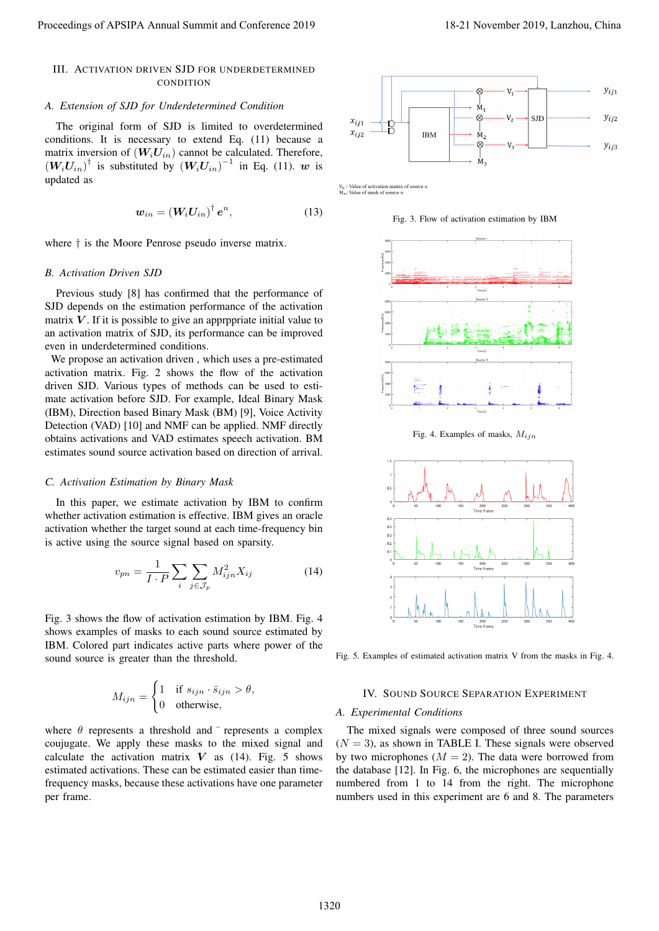#### CONDITION

# *A. Extension of SJD for Underdetermined Condition*

The original form of SJD is limited to overdetermined conditions. It is necessary to extend Eq. (11) because a matrix inversion of (*WiUin*) cannot be calculated. Therefore,  $(W_i U_{in})^{\dagger}$  is substituted by  $(W_i U_{in})^{-1}$  in Eq. (11). *w* is updated as

$$
\boldsymbol{w}_{in} = \left(\boldsymbol{W}_{i}\boldsymbol{U}_{in}\right)^{\dagger}\boldsymbol{e}^{n},\tag{13}
$$

where *†* is the Moore Penrose pseudo inverse matrix.

# *B. Activation Driven SJD*

Previous study [8] has confirmed that the performance of SJD depends on the estimation performance of the activation matrix  $V$ . If it is possible to give an appropriate initial value to an activation matrix of SJD, its performance can be improved even in underdetermined conditions.

We propose an activation driven , which uses a pre-estimated activation matrix. Fig. 2 shows the flow of the activation driven SJD. Various types of methods can be used to estimate activation before SJD. For example, Ideal Binary Mask (IBM), Direction based Binary Mask (BM) [9], Voice Activity Detection (VAD) [10] and NMF can be applied. NMF directly obtains activations and VAD estimates speech activation. BM estimates sound source activation based on direction of arrival.

# *C. Activation Estimation by Binary Mask*

In this paper, we estimate activation by IBM to confirm whether activation estimation is effective. IBM gives an oracle activation whether the target sound at each time-frequency bin is active using the source signal based on sparsity.

$$
v_{pn} = \frac{1}{I \cdot P} \sum_{i} \sum_{j \in \mathcal{J}_p} M_{ijn}^2 X_{ij}
$$
 (14)

Fig. 3 shows the flow of activation estimation by IBM. Fig. 4 shows examples of masks to each sound source estimated by IBM. Colored part indicates active parts where power of the sound source is greater than the threshold.

$$
M_{ijn} = \begin{cases} 1 & \text{if } s_{ijn} \cdot \bar{s}_{ijn} > \theta, \\ 0 & \text{otherwise,} \end{cases}
$$

where  $\theta$  represents a threshold and  $\bar{ }$  represents a complex coujugate. We apply these masks to the mixed signal and calculate the activation matrix  $V$  as (14). Fig. 5 shows estimated activations. These can be estimated easier than timefrequency masks, because these activations have one parameter per frame.

Fig. 3. Flow of activation estimation by IBM



Fig. 4. Examples of masks, *Mijn*



Fig. 5. Examples of estimated activation matrix V from the masks in Fig. 4.

#### IV. SOUND SOURCE SEPARATION EXPERIMENT

#### *A. Experimental Conditions*

The mixed signals were composed of three sound sources  $(N = 3)$ , as shown in TABLE I. These signals were observed by two microphones  $(M = 2)$ . The data were borrowed from the database [12]. In Fig. 6, the microphones are sequentially numbered from 1 to 14 from the right. The microphone numbers used in this experiment are 6 and 8. The parameters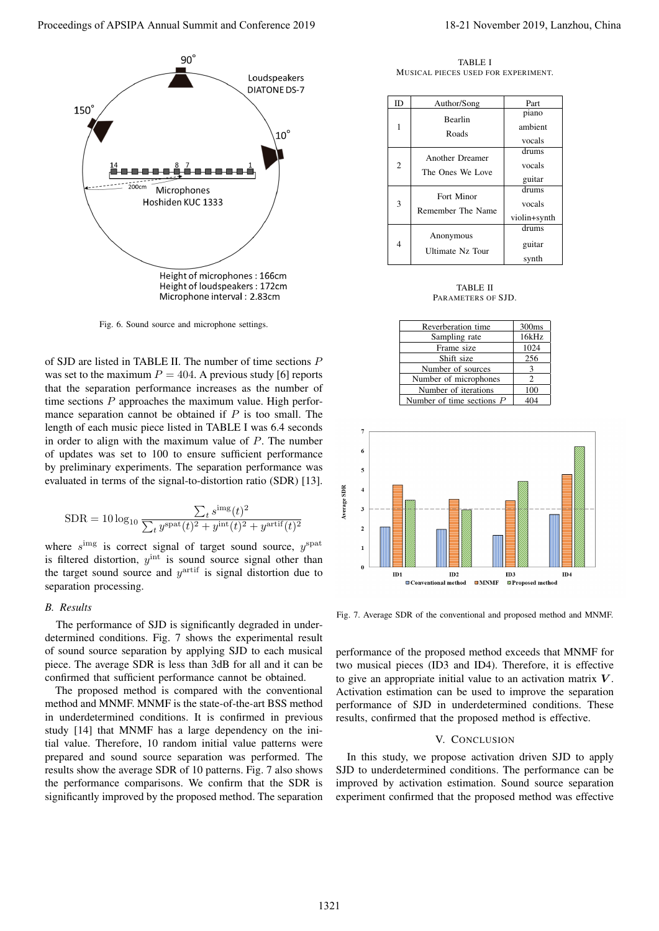

Fig. 6. Sound source and microphone settings.

of SJD are listed in TABLE II. The number of time sections *P* was set to the maximum  $P = 404$ . A previous study [6] reports that the separation performance increases as the number of time sections *P* approaches the maximum value. High performance separation cannot be obtained if *P* is too small. The length of each music piece listed in TABLE I was 6.4 seconds in order to align with the maximum value of *P*. The number of updates was set to 100 to ensure sufficient performance by preliminary experiments. The separation performance was evaluated in terms of the signal-to-distortion ratio (SDR) [13].

SDR = 10 log<sub>10</sub> 
$$
\frac{\sum_{t} s^{\text{im}} (t)^{2}}{\sum_{t} y^{\text{spat}} (t)^{2} + y^{\text{int}} (t)^{2} + y^{\text{artif}} (t)^{2}}
$$

where  $s^{\text{im}}$  is correct signal of target sound source,  $y^{\text{spat}}$ is filtered distortion,  $y^{\text{int}}$  is sound source signal other than the target sound source and  $y^{\text{artif}}$  is signal distortion due to separation processing.

# *B. Results*

The performance of SJD is significantly degraded in underdetermined conditions. Fig. 7 shows the experimental result of sound source separation by applying SJD to each musical piece. The average SDR is less than 3dB for all and it can be confirmed that sufficient performance cannot be obtained.

The proposed method is compared with the conventional method and MNMF. MNMF is the state-of-the-art BSS method in underdetermined conditions. It is confirmed in previous study [14] that MNMF has a large dependency on the initial value. Therefore, 10 random initial value patterns were prepared and sound source separation was performed. The results show the average SDR of 10 patterns. Fig. 7 also shows the performance comparisons. We confirm that the SDR is significantly improved by the proposed method. The separation

TABLE I MUSICAL PIECES USED FOR EXPERIMENT.

| ID             | Author/Song                         | Part                            |
|----------------|-------------------------------------|---------------------------------|
| 1              | <b>Bearlin</b><br>Roads             | piano<br>ambient<br>vocals      |
| $\overline{2}$ | Another Dreamer<br>The Ones We Love | drums<br>vocals<br>guitar       |
| 3              | Fort Minor<br>Remember The Name     | drums<br>vocals<br>violin+synth |
| 4              | Anonymous<br>Ultimate Nz Tour       | drums<br>guitar<br>synth        |

TABLE II PARAMETERS OF SJD.

| Reverberation time          | 300ms |
|-----------------------------|-------|
| Sampling rate               | 16kHz |
| Frame size                  | 1024  |
| Shift size                  | 256   |
| Number of sources           | 3     |
| Number of microphones       | 2     |
| Number of iterations        | 100   |
| Number of time sections $P$ |       |



Fig. 7. Average SDR of the conventional and proposed method and MNMF.

performance of the proposed method exceeds that MNMF for two musical pieces (ID3 and ID4). Therefore, it is effective to give an appropriate initial value to an activation matrix *V* . Activation estimation can be used to improve the separation performance of SJD in underdetermined conditions. These results, confirmed that the proposed method is effective.

# V. CONCLUSION

In this study, we propose activation driven SJD to apply SJD to underdetermined conditions. The performance can be improved by activation estimation. Sound source separation experiment confirmed that the proposed method was effective